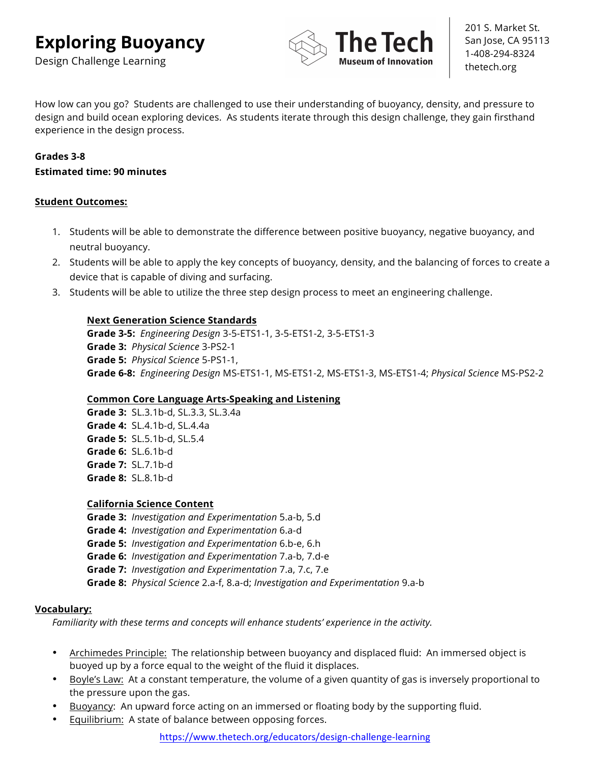Design Challenge Learning



201 S. Market St. San Jose, CA 95113 1-408-294-8324 thetech.org

How low can you go? Students are challenged to use their understanding of buoyancy, density, and pressure to design and build ocean exploring devices. As students iterate through this design challenge, they gain firsthand experience in the design process.

# **Grades 3-8**

#### **Estimated time: 90 minutes**

# **Student Outcomes:**

- 1. Students will be able to demonstrate the difference between positive buoyancy, negative buoyancy, and neutral buoyancy.
- 2. Students will be able to apply the key concepts of buoyancy, density, and the balancing of forces to create a device that is capable of diving and surfacing.
- 3. Students will be able to utilize the three step design process to meet an engineering challenge.

# **Next Generation Science Standards**

**Grade 3-5:** *Engineering Design* 3-5-ETS1-1, 3-5-ETS1-2, 3-5-ETS1-3 **Grade 3:** *Physical Science* 3-PS2-1 **Grade 5:** *Physical Science* 5-PS1-1, **Grade 6-8:** *Engineering Design* MS-ETS1-1, MS-ETS1-2, MS-ETS1-3, MS-ETS1-4; *Physical Science* MS-PS2-2

# **Common Core Language Arts-Speaking and Listening**

**Grade 3:** SL.3.1b-d, SL.3.3, SL.3.4a **Grade 4:**SL.4.1b-d, SL.4.4a **Grade 5:** SL.5.1b-d, SL.5.4 **Grade 6:** SL.6.1b-d **Grade 7:** SL.7.1b-d **Grade 8:** SL.8.1b-d

# **California Science Content**

**Grade 3:** *Investigation and Experimentation* 5.a-b, 5.d **Grade 4:** *Investigation and Experimentation* 6.a-d **Grade 5:** *Investigation and Experimentation* 6.b-e, 6.h **Grade 6:** *Investigation and Experimentation* 7.a-b, 7.d-e **Grade 7:** *Investigation and Experimentation* 7.a, 7.c, 7.e **Grade 8:** *Physical Science* 2.a-f, 8.a-d; *Investigation and Experimentation* 9.a-b

# **Vocabulary:**

*Familiarity with these terms and concepts will enhance students' experience in the activity.* 

- Archimedes Principle: The relationship between buoyancy and displaced fluid: An immersed object is buoyed up by a force equal to the weight of the fluid it displaces.
- Boyle's Law: At a constant temperature, the volume of a given quantity of gas is inversely proportional to the pressure upon the gas.
- Buoyancy: An upward force acting on an immersed or floating body by the supporting fluid.
- Equilibrium: A state of balance between opposing forces.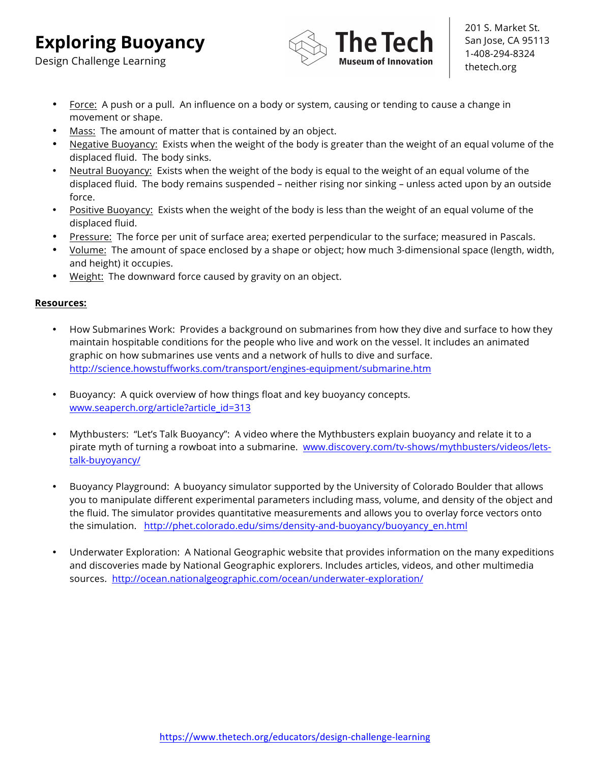Design Challenge Learning



201 S. Market St. San Jose, CA 95113 1-408-294-8324 thetech.org

- Force: A push or a pull. An influence on a body or system, causing or tending to cause a change in movement or shape.
- Mass: The amount of matter that is contained by an object.
- Negative Buoyancy: Exists when the weight of the body is greater than the weight of an equal volume of the displaced fluid. The body sinks.
- Neutral Buoyancy: Exists when the weight of the body is equal to the weight of an equal volume of the displaced fluid. The body remains suspended – neither rising nor sinking – unless acted upon by an outside force.
- Positive Buoyancy: Exists when the weight of the body is less than the weight of an equal volume of the displaced fluid.
- Pressure: The force per unit of surface area; exerted perpendicular to the surface; measured in Pascals.
- Volume: The amount of space enclosed by a shape or object; how much 3-dimensional space (length, width, and height) it occupies.
- Weight: The downward force caused by gravity on an object.

# **Resources:**

- How Submarines Work: Provides a background on submarines from how they dive and surface to how they maintain hospitable conditions for the people who live and work on the vessel. It includes an animated graphic on how submarines use vents and a network of hulls to dive and surface. http://science.howstuffworks.com/transport/engines-equipment/submarine.htm
- Buoyancy: A quick overview of how things float and key buoyancy concepts. www.seaperch.org/article?article\_id=313
- Mythbusters: "Let's Talk Buoyancy": A video where the Mythbusters explain buoyancy and relate it to a pirate myth of turning a rowboat into a submarine. www.discovery.com/tv-shows/mythbusters/videos/letstalk-buyoyancy/
- Buoyancy Playground: A buoyancy simulator supported by the University of Colorado Boulder that allows you to manipulate different experimental parameters including mass, volume, and density of the object and the fluid. The simulator provides quantitative measurements and allows you to overlay force vectors onto the simulation. http://phet.colorado.edu/sims/density-and-buoyancy/buoyancy\_en.html
- Underwater Exploration: A National Geographic website that provides information on the many expeditions and discoveries made by National Geographic explorers. Includes articles, videos, and other multimedia sources. http://ocean.nationalgeographic.com/ocean/underwater-exploration/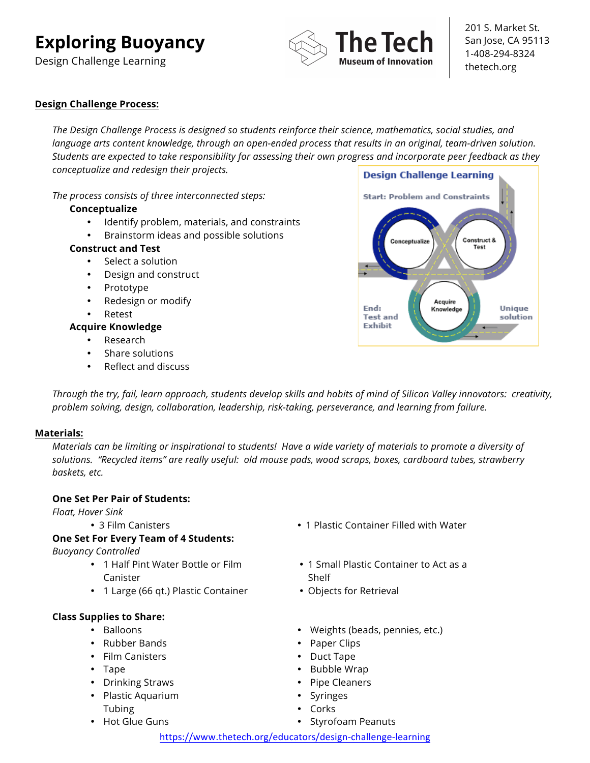Design Challenge Learning



201 S. Market St. San Jose, CA 95113 1-408-294-8324 thetech.org

# **Design Challenge Process:**

*The Design Challenge Process is designed so students reinforce their science, mathematics, social studies, and language arts content knowledge, through an open-ended process that results in an original, team-driven solution. Students are expected to take responsibility for assessing their own progress and incorporate peer feedback as they conceptualize and redesign their projects.* 

*The process consists of three interconnected steps:* 

#### **Conceptualize**

- Identify problem, materials, and constraints
- Brainstorm ideas and possible solutions

#### **Construct and Test**

- Select a solution
- Design and construct
- Prototype
- Redesign or modify
- **Retest**

#### **Acquire Knowledge**

- Research
- Share solutions
- Reflect and discuss



*Through the try, fail, learn approach, students develop skills and habits of mind of Silicon Valley innovators: creativity, problem solving, design, collaboration, leadership, risk-taking, perseverance, and learning from failure.* 

#### **Materials:**

*Materials can be limiting or inspirational to students! Have a wide variety of materials to promote a diversity of solutions. "Recycled items" are really useful: old mouse pads, wood scraps, boxes, cardboard tubes, strawberry baskets, etc.* 

# **One Set Per Pair of Students:**

*Float, Hover Sink*

# **One Set For Every Team of 4 Students:**

*Buoyancy Controlled*

- 1 Half Pint Water Bottle or Film Canister
- 1 Large (66 qt.) Plastic Container

# **Class Supplies to Share:**

- Balloons
- Rubber Bands
- Film Canisters
- Tape
- Drinking Straws
- Plastic Aquarium Tubing
- Hot Glue Guns
- 3 Film Canisters 1 Plastic Container Filled with Water
	- 1 Small Plastic Container to Act as a Shelf
	- Objects for Retrieval
	- Weights (beads, pennies, etc.)
	- Paper Clips
	- Duct Tape
	- Bubble Wrap
	- Pipe Cleaners
	- **Syringes**
	- Corks
	- Styrofoam Peanuts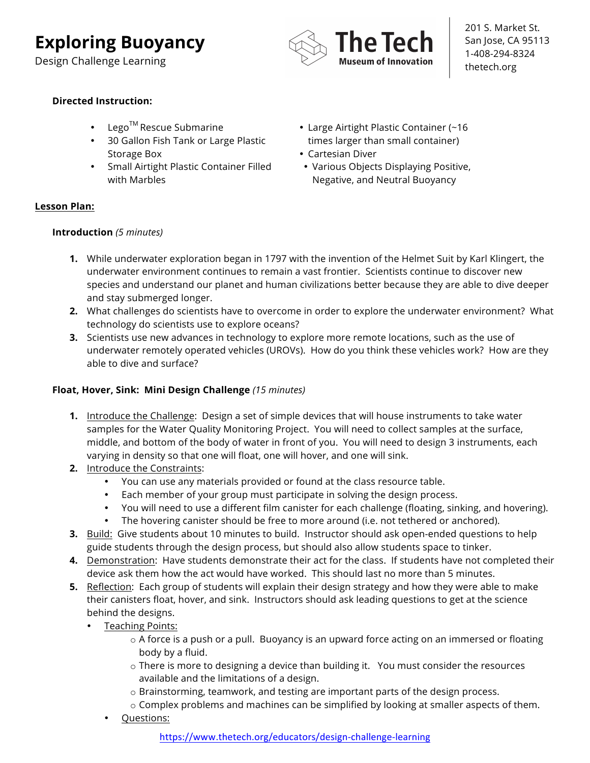Design Challenge Learning



201 S. Market St. San Jose, CA 95113 1-408-294-8324 thetech.org

# **Directed Instruction:**

- Lego<sup>TM</sup> Rescue Submarine
- 30 Gallon Fish Tank or Large Plastic Storage Box
- Small Airtight Plastic Container Filled with Marbles
- Large Airtight Plastic Container (~16 times larger than small container)
- Cartesian Diver
- Various Objects Displaying Positive, Negative, and Neutral Buoyancy

# **Lesson Plan:**

# **Introduction** *(5 minutes)*

- **1.** While underwater exploration began in 1797 with the invention of the Helmet Suit by Karl Klingert, the underwater environment continues to remain a vast frontier. Scientists continue to discover new species and understand our planet and human civilizations better because they are able to dive deeper and stay submerged longer.
- **2.** What challenges do scientists have to overcome in order to explore the underwater environment? What technology do scientists use to explore oceans?
- **3.** Scientists use new advances in technology to explore more remote locations, such as the use of underwater remotely operated vehicles (UROVs). How do you think these vehicles work? How are they able to dive and surface?

# **Float, Hover, Sink: Mini Design Challenge** *(15 minutes)*

- **1.** Introduce the Challenge: Design a set of simple devices that will house instruments to take water samples for the Water Quality Monitoring Project. You will need to collect samples at the surface, middle, and bottom of the body of water in front of you. You will need to design 3 instruments, each varying in density so that one will float, one will hover, and one will sink.
- **2.** Introduce the Constraints:
	- You can use any materials provided or found at the class resource table.
	- Each member of your group must participate in solving the design process.
	- You will need to use a different film canister for each challenge (floating, sinking, and hovering).
	- The hovering canister should be free to more around (i.e. not tethered or anchored).
- **3.** Build: Give students about 10 minutes to build. Instructor should ask open-ended questions to help guide students through the design process, but should also allow students space to tinker.
- **4.** Demonstration: Have students demonstrate their act for the class. If students have not completed their device ask them how the act would have worked. This should last no more than 5 minutes.
- **5.** Reflection: Each group of students will explain their design strategy and how they were able to make their canisters float, hover, and sink. Instructors should ask leading questions to get at the science behind the designs.
	- Teaching Points:
		- $\circ$  A force is a push or a pull. Buoyancy is an upward force acting on an immersed or floating body by a fluid.
		- o There is more to designing a device than building it. You must consider the resources available and the limitations of a design.
		- o Brainstorming, teamwork, and testing are important parts of the design process.
		- o Complex problems and machines can be simplified by looking at smaller aspects of them.
		- Questions: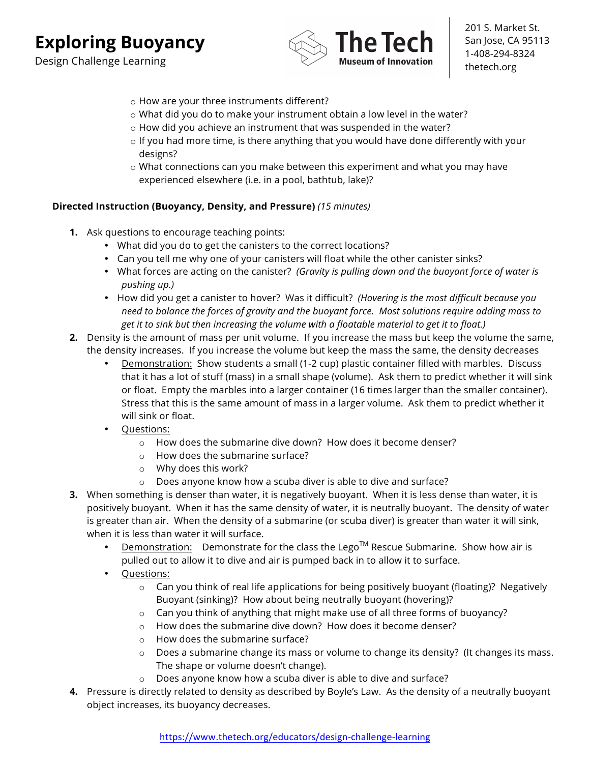Design Challenge Learning



201 S. Market St. San Jose, CA 95113 1-408-294-8324 thetech.org

- o How are your three instruments different?
- o What did you do to make your instrument obtain a low level in the water?
- o How did you achieve an instrument that was suspended in the water?
- $\circ$  If you had more time, is there anything that you would have done differently with your designs?
- o What connections can you make between this experiment and what you may have experienced elsewhere (i.e. in a pool, bathtub, lake)?

#### **Directed Instruction (Buoyancy, Density, and Pressure)** *(15 minutes)*

- **1.** Ask questions to encourage teaching points:
	- What did you do to get the canisters to the correct locations?
	- Can you tell me why one of your canisters will float while the other canister sinks?
	- What forces are acting on the canister? *(Gravity is pulling down and the buoyant force of water is pushing up.)*
	- How did you get a canister to hover? Was it difficult? *(Hovering is the most difficult because you need to balance the forces of gravity and the buoyant force. Most solutions require adding mass to get it to sink but then increasing the volume with a floatable material to get it to float.)*
- **2.** Density is the amount of mass per unit volume. If you increase the mass but keep the volume the same, the density increases. If you increase the volume but keep the mass the same, the density decreases
	- Demonstration: Show students a small (1-2 cup) plastic container filled with marbles. Discuss that it has a lot of stuff (mass) in a small shape (volume). Ask them to predict whether it will sink or float. Empty the marbles into a larger container (16 times larger than the smaller container). Stress that this is the same amount of mass in a larger volume. Ask them to predict whether it will sink or float.
	- Questions:
		- o How does the submarine dive down? How does it become denser?
		- o How does the submarine surface?
		- o Why does this work?
		- o Does anyone know how a scuba diver is able to dive and surface?
- **3.** When something is denser than water, it is negatively buoyant. When it is less dense than water, it is positively buoyant. When it has the same density of water, it is neutrally buoyant. The density of water is greater than air. When the density of a submarine (or scuba diver) is greater than water it will sink, when it is less than water it will surface.
	- $D$ emonstration: Demonstrate for the class the Lego<sup>TM</sup> Rescue Submarine. Show how air is pulled out to allow it to dive and air is pumped back in to allow it to surface.
	- Questions:
		- $\circ$  Can you think of real life applications for being positively buoyant (floating)? Negatively Buoyant (sinking)? How about being neutrally buoyant (hovering)?
		- o Can you think of anything that might make use of all three forms of buoyancy?
		- o How does the submarine dive down? How does it become denser?
		- o How does the submarine surface?
		- $\circ$  Does a submarine change its mass or volume to change its density? (It changes its mass. The shape or volume doesn't change).
		- o Does anyone know how a scuba diver is able to dive and surface?
- **4.** Pressure is directly related to density as described by Boyle's Law. As the density of a neutrally buoyant object increases, its buoyancy decreases.